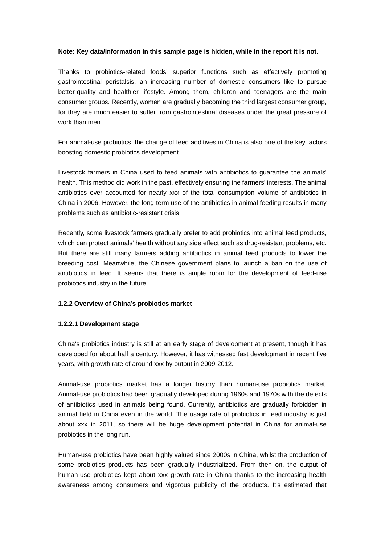### **Note: Key data/information in this sample page is hidden, while in the report it is not.**

Thanks to probiotics-related foods' superior functions such as effectively promoting gastrointestinal peristalsis, an increasing number of domestic consumers like to pursue better-quality and healthier lifestyle. Among them, children and teenagers are the main consumer groups. Recently, women are gradually becoming the third largest consumer group, for they are much easier to suffer from gastrointestinal diseases under the great pressure of work than men.

For animal-use probiotics, the change of feed additives in China is also one of the key factors boosting domestic probiotics development.

Livestock farmers in China used to feed animals with antibiotics to guarantee the animals' health. This method did work in the past, effectively ensuring the farmers' interests. The animal antibiotics ever accounted for nearly xxx of the total consumption volume of antibiotics in China in 2006. However, the long-term use of the antibiotics in animal feeding results in many problems such as antibiotic-resistant crisis.

Recently, some livestock farmers gradually prefer to add probiotics into animal feed products, which can protect animals' health without any side effect such as drug-resistant problems, etc. But there are still many farmers adding antibiotics in animal feed products to lower the breeding cost. Meanwhile, the Chinese government plans to launch a ban on the use of antibiotics in feed. It seems that there is ample room for the development of feed-use probiotics industry in the future.

# **1.2.2 Overview of China's probiotics market**

# **1.2.2.1 Development stage**

China's probiotics industry is still at an early stage of development at present, though it has developed for about half a century. However, it has witnessed fast development in recent five years, with growth rate of around xxx by output in 2009-2012.

Animal-use probiotics market has a longer history than human-use probiotics market. Animal-use probiotics had been gradually developed during 1960s and 1970s with the defects of antibiotics used in animals being found. Currently, antibiotics are gradually forbidden in animal field in China even in the world. The usage rate of probiotics in feed industry is just about xxx in 2011, so there will be huge development potential in China for animal-use probiotics in the long run.

Human-use probiotics have been highly valued since 2000s in China, whilst the production of some probiotics products has been gradually industrialized. From then on, the output of human-use probiotics kept about xxx growth rate in China thanks to the increasing health awareness among consumers and vigorous publicity of the products. It's estimated that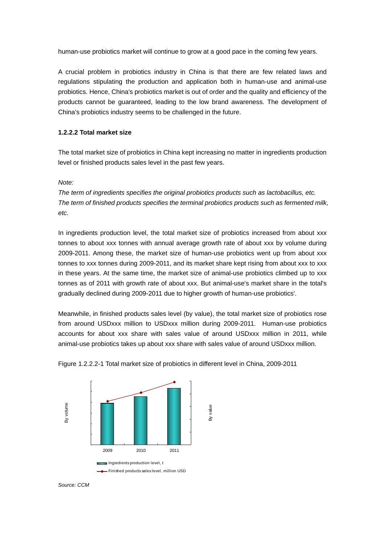human-use probiotics market will continue to grow at a good pace in the coming few years.

A crucial problem in probiotics industry in China is that there are few related laws and regulations stipulating the production and application both in human-use and animal-use probiotics. Hence, China's probiotics market is out of order and the quality and efficiency of the products cannot be guaranteed, leading to the low brand awareness. The development of China's probiotics industry seems to be challenged in the future.

## **1.2.2.2 Total market size**

The total market size of probiotics in China kept increasing no matter in ingredients production level or finished products sales level in the past few years.

*Note:* 

*The term of ingredients specifies the original probiotics products such as lactobacillus, etc. The term of finished products specifies the terminal probiotics products such as fermented milk, etc.* 

In ingredients production level, the total market size of probiotics increased from about xxx tonnes to about xxx tonnes with annual average growth rate of about xxx by volume during 2009-2011. Among these, the market size of human-use probiotics went up from about xxx tonnes to xxx tonnes during 2009-2011, and its market share kept rising from about xxx to xxx in these years. At the same time, the market size of animal-use probiotics climbed up to xxx tonnes as of 2011 with growth rate of about xxx. But animal-use's market share in the total's gradually declined during 2009-2011 due to higher growth of human-use probiotics'.

Meanwhile, in finished products sales level (by value), the total market size of probiotics rose from around USDxxx million to USDxxx million during 2009-2011. Human-use probiotics accounts for about xxx share with sales value of around USDxxx million in 2011, while animal-use probiotics takes up about xxx share with sales value of around USDxxx million.



Figure 1.2.2.2-1 Total market size of probiotics in different level in China, 2009-2011

*Source: CCM*